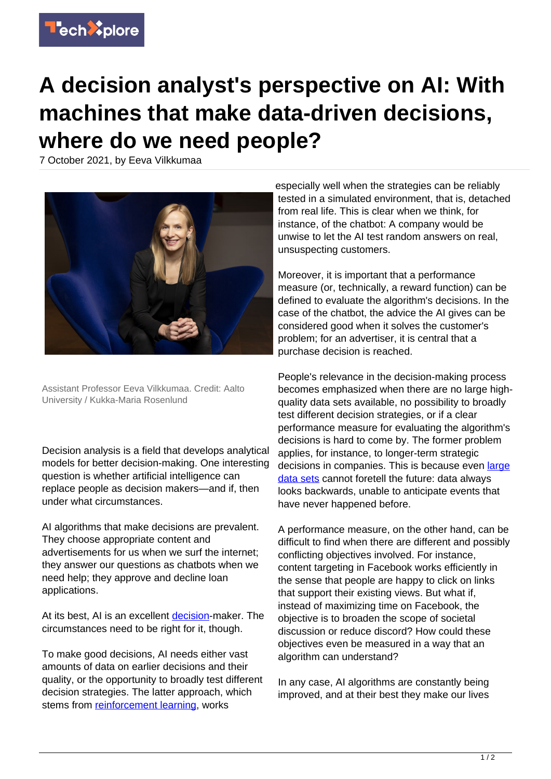

## **A decision analyst's perspective on AI: With machines that make data-driven decisions, where do we need people?**

7 October 2021, by Eeva Vilkkumaa



Assistant Professor Eeva Vilkkumaa. Credit: Aalto University / Kukka-Maria Rosenlund

Decision analysis is a field that develops analytical models for better decision-making. One interesting question is whether artificial intelligence can replace people as decision makers—and if, then under what circumstances.

AI algorithms that make decisions are prevalent. They choose appropriate content and advertisements for us when we surf the internet; they answer our questions as chatbots when we need help; they approve and decline loan applications.

At its best, AI is an excellent [decision](https://techxplore.com/tags/decision/)-maker. The circumstances need to be right for it, though.

To make good decisions, AI needs either vast amounts of data on earlier decisions and their quality, or the opportunity to broadly test different decision strategies. The latter approach, which stems from **[reinforcement learning](https://techxplore.com/tags/reinforcement+learning/)**, works

especially well when the strategies can be reliably tested in a simulated environment, that is, detached from real life. This is clear when we think, for instance, of the chatbot: A company would be unwise to let the AI test random answers on real, unsuspecting customers.

Moreover, it is important that a performance measure (or, technically, a reward function) can be defined to evaluate the algorithm's decisions. In the case of the chatbot, the advice the AI gives can be considered good when it solves the customer's problem; for an advertiser, it is central that a purchase decision is reached.

People's relevance in the decision-making process becomes emphasized when there are no large highquality data sets available, no possibility to broadly test different decision strategies, or if a clear performance measure for evaluating the algorithm's decisions is hard to come by. The former problem applies, for instance, to longer-term strategic decisions in companies. This is because even [large](https://techxplore.com/tags/large+data+sets/) [data sets](https://techxplore.com/tags/large+data+sets/) cannot foretell the future: data always looks backwards, unable to anticipate events that have never happened before.

A performance measure, on the other hand, can be difficult to find when there are different and possibly conflicting objectives involved. For instance, content targeting in Facebook works efficiently in the sense that people are happy to click on links that support their existing views. But what if, instead of maximizing time on Facebook, the objective is to broaden the scope of societal discussion or reduce discord? How could these objectives even be measured in a way that an algorithm can understand?

In any case, AI algorithms are constantly being improved, and at their best they make our lives